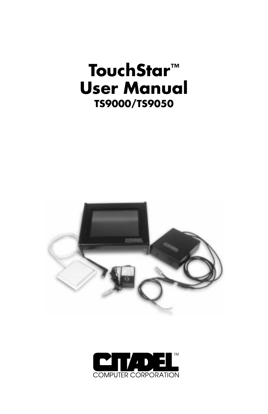## **TouchStar™ User Manual TS9000/TS9050**



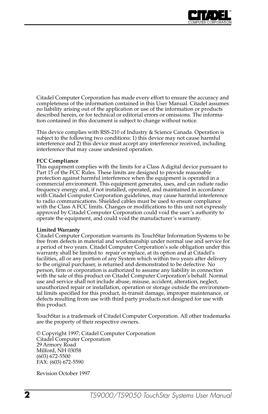

Citadel Computer Corporation has made every effort to ensure the accuracy and completeness of the information contained in this User Manual. Citadel assumes no liability arising out of the application or use of the information or products described herein, or for technical or editorial errors or omissions. The information contained in this document is subject to change without notice.

This device complies with RSS-210 of Industry & Science Canada. Operation is subject to the following two conditions: 1) this device may not cause harmful interference and 2) this device must accept any interference received, including interference that may cause undesired operation.

#### **FCC Compliance**

This equipment complies with the limits for a Class A digital device pursuant to Part 15 of the FCC Rules. These limits are designed to provide reasonable protection against harmful interference when the equipment is operated in a commercial environment. This equipment generates, uses, and can radiate radio frequency energy and, if not installed, operated, and maintained in accordance with Citadel Computer Corporation guidelines, may cause harmful interference to radio communications. Shielded cables must be used to ensure compliance with the Class A FCC limits. Changes or modifications to this unit not expressly approved by Citadel Computer Corporation could void the user's authority to operate the equipment, and could void the manufacturer's warranty.

#### **Limited Warranty**

Citadel Computer Corporation warrants its TouchStar Information Systems to be free from defects in material and workmanship under normal use and service for a period of two years. Citadel Computer Corporation's sole obligation under this warranty shall be limited to repair or replace, at its option and at Citadel's facilities, all or any portion of any System which within two years after delivery to the original purchaser, is returned and demonstrated to be defective. No person, firm or corporation is authorized to assume any liability in connection with the sale of this product on Citadel Computer Corporation's behalf. Normal use and service shall not include abuse, misuse, accident, alteration, neglect, unauthorized repair or installation, operation or storage outside the environmental limits specified for this product, in-transit damage, improper maintenance, or defects resulting from use with third party products not designed for use with this product.

TouchStar is a trademark of Citadel Computer Corporation. All other trademarks are the property of their respective owners.

© Copyright 1997; Citadel Computer Corporation Citadel Computer Corporation 29 Armory Road Milford, NH 03058 (603) 672-5500 FAX: (603) 672-5590

Revision October 1997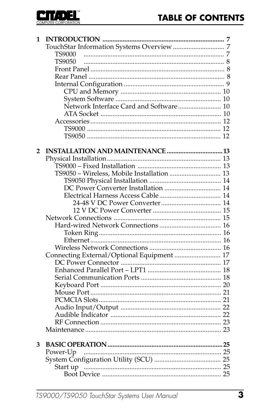

| 1 |                                            |  |
|---|--------------------------------------------|--|
|   |                                            |  |
|   | TS9000                                     |  |
|   | TS9050                                     |  |
|   |                                            |  |
|   |                                            |  |
|   |                                            |  |
|   |                                            |  |
|   |                                            |  |
|   |                                            |  |
|   | ATA Socket ………………………………………………………… 10       |  |
|   |                                            |  |
|   |                                            |  |
|   |                                            |  |
|   |                                            |  |
| 2 | <b>INSTALLATION AND MAINTENANCE  13</b>    |  |
|   |                                            |  |
|   |                                            |  |
|   | TS9050 - Wireless, Mobile Installation  13 |  |
|   |                                            |  |
|   |                                            |  |
|   |                                            |  |
|   |                                            |  |
|   |                                            |  |
|   |                                            |  |
|   |                                            |  |
|   |                                            |  |
|   |                                            |  |
|   |                                            |  |
|   | Connecting External/Optional Equipment  17 |  |
|   |                                            |  |
|   |                                            |  |
|   |                                            |  |
|   |                                            |  |
|   |                                            |  |
|   |                                            |  |
|   |                                            |  |
|   |                                            |  |
|   |                                            |  |
|   |                                            |  |
|   |                                            |  |
| 3 |                                            |  |
|   | Power-Up                                   |  |
|   |                                            |  |
|   |                                            |  |
|   |                                            |  |
|   |                                            |  |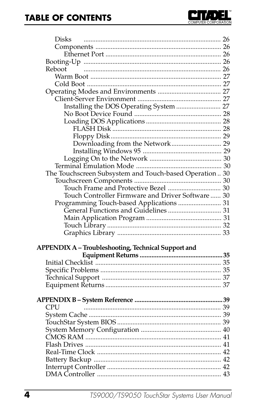| Disks                                                  |  |
|--------------------------------------------------------|--|
|                                                        |  |
|                                                        |  |
|                                                        |  |
| Reboot                                                 |  |
|                                                        |  |
|                                                        |  |
|                                                        |  |
|                                                        |  |
| Installing the DOS Operating System  27                |  |
|                                                        |  |
|                                                        |  |
|                                                        |  |
|                                                        |  |
|                                                        |  |
|                                                        |  |
|                                                        |  |
|                                                        |  |
|                                                        |  |
| The Touchscreen Subsystem and Touch-based Operation 30 |  |
|                                                        |  |
| Touch Frame and Protective Bezel  30                   |  |
| Touch Controller Firmware and Driver Software  30      |  |
| Programming Touch-based Applications  31               |  |
| General Functions and Guidelines  31                   |  |
|                                                        |  |
|                                                        |  |
|                                                        |  |
|                                                        |  |
| APPENDIX A - Troubleshooting, Technical Support and    |  |
|                                                        |  |
|                                                        |  |
|                                                        |  |
|                                                        |  |
|                                                        |  |
|                                                        |  |
|                                                        |  |
| <b>CPU</b>                                             |  |
|                                                        |  |
|                                                        |  |
|                                                        |  |
|                                                        |  |
|                                                        |  |
|                                                        |  |
|                                                        |  |
|                                                        |  |
|                                                        |  |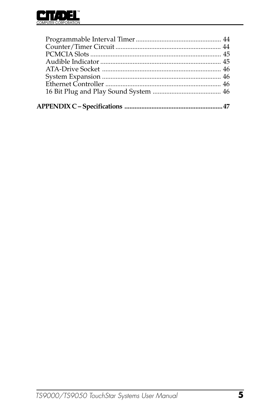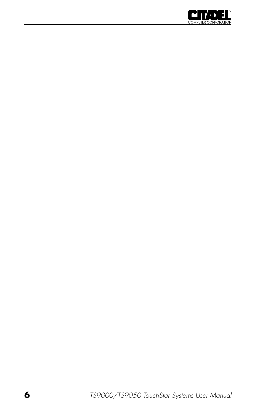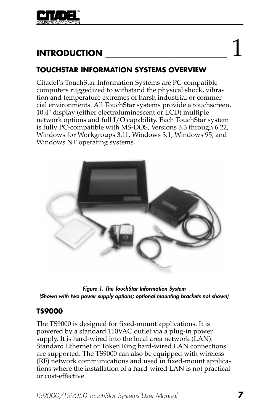

### **INTRODUCTION**

#### **TOUCHSTAR INFORMATION SYSTEMS OVERVIEW**

Citadel's TouchStar Information Systems are PC-compatible computers ruggedized to withstand the physical shock, vibration and temperature extremes of harsh industrial or commercial environments. All TouchStar systems provide a touchscreen, 10.4" display (either electroluminescent or LCD) multiple network options and full I/O capability. Each TouchStar system is fully PC-compatible with MS-DOS, Versions 3.3 through 6.22, Windows for Workgroups 3.11, Windows 3.1, Windows 95, and Windows NT operating systems.



**Figure 1. The TouchStar Information System (Shown with two power supply options; optional mounting brackets not shown)**

#### **TS9000**

The TS9000 is designed for fixed-mount applications. It is powered by a standard 110VAC outlet via a plug-in power supply. It is hard-wired into the local area network (LAN). Standard Ethernet or Token Ring hard-wired LAN connections are supported. The TS9000 can also be equipped with wireless (RF) network communications and used in fixed-mount applications where the installation of a hard-wired LAN is not practical or cost-effective.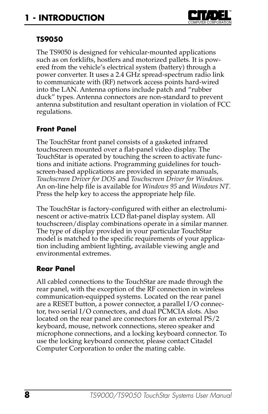

#### **TS9050**

The TS9050 is designed for vehicular-mounted applications such as on forklifts, hostlers and motorized pallets. It is powered from the vehicle's electrical system (battery) through a power converter. It uses a 2.4 GHz spread-spectrum radio link to communicate with (RF) network access points hard-wired into the LAN. Antenna options include patch and "rubber duck" types. Antenna connectors are non-standard to prevent antenna substitution and resultant operation in violation of FCC regulations.

#### **Front Panel**

The TouchStar front panel consists of a gasketed infrared touchscreen mounted over a flat-panel video display. The TouchStar is operated by touching the screen to activate functions and initiate actions. Programming guidelines for touchscreen-based applications are provided in separate manuals, *Touchscreen Driver for DOS* and *Touchscreen Driver for Windows*. An on-line help file is available for *Windows 95* and *Windows NT*. Press the help key to access the appropriate help file.

The TouchStar is factory-configured with either an electroluminescent or active-matrix LCD flat-panel display system. All touchscreen/display combinations operate in a similar manner. The type of display provided in your particular TouchStar model is matched to the specific requirements of your application including ambient lighting, available viewing angle and environmental extremes.

#### **Rear Panel**

All cabled connections to the TouchStar are made through the rear panel, with the exception of the RF connection in wireless communication-equipped systems. Located on the rear panel are a RESET button, a power connector, a parallel I/O connector, two serial I/O connectors, and dual PCMCIA slots. Also located on the rear panel are connectors for an external PS/2 keyboard, mouse, network connections, stereo speaker and microphone connections, and a locking keyboard connector. To use the locking keyboard connector, please contact Citadel Computer Corporation to order the mating cable.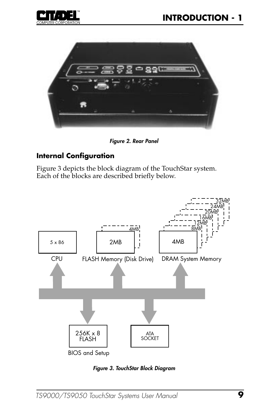



**Figure 2. Rear Panel**

#### **Internal Configuration**

Figure 3 depicts the block diagram of the TouchStar system. Each of the blocks are described briefly below.



**Figure 3. TouchStar Block Diagram**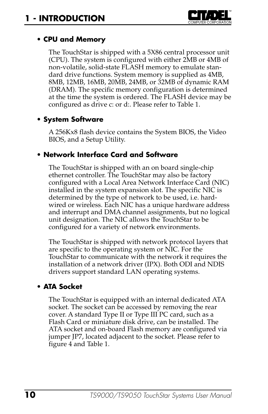

#### **• CPU and Memory**

The TouchStar is shipped with a 5X86 central processor unit (CPU). The system is configured with either 2MB or 4MB of non-volatile, solid-state FLASH memory to emulate standard drive functions. System memory is supplied as 4MB, 8MB, 12MB, 16MB, 20MB, 24MB, or 32MB of dynamic RAM (DRAM). The specific memory configuration is determined at the time the system is ordered. The FLASH device may be configured as drive c: or d:. Please refer to Table 1.

#### **• System Software**

A 256Kx8 flash device contains the System BIOS, the Video BIOS, and a Setup Utility.

#### **• Network Interface Card and Software**

The TouchStar is shipped with an on board single-chip ethernet controller. The TouchStar may also be factory configured with a Local Area Network Interface Card (NIC) installed in the system expansion slot. The specific NIC is determined by the type of network to be used, i.e. hardwired or wireless. Each NIC has a unique hardware address and interrupt and DMA channel assignments, but no logical unit designation. The NIC allows the TouchStar to be configured for a variety of network environments.

The TouchStar is shipped with network protocol layers that are specific to the operating system or NIC. For the TouchStar to communicate with the network it requires the installation of a network driver (IPX). Both ODI and NDIS drivers support standard LAN operating systems.

#### **• ATA Socket**

The TouchStar is equipped with an internal dedicated ATA socket. The socket can be accessed by removing the rear cover. A standard Type II or Type III PC card, such as a Flash Card or miniature disk drive, can be installed. The ATA socket and on-board Flash memory are configured via jumper JP7, located adjacent to the socket. Please refer to figure 4 and Table 1.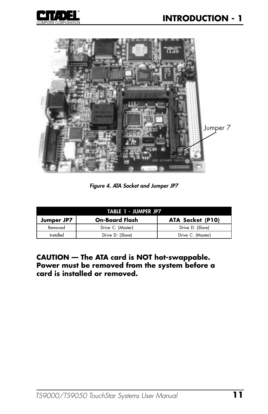



**Figure 4. ATA Socket and Jumper JP7**

| 'TABLE 1 - JUMPER JP7.                                  |                   |                   |  |
|---------------------------------------------------------|-------------------|-------------------|--|
| <b>On-Board Flash</b><br>ATA Socket (P10)<br>Jumper JP7 |                   |                   |  |
| Removed                                                 | Drive C: (Master) | Drive D: (Slave)  |  |
| Installed                                               | Drive D: (Slave)  | Drive C: (Master) |  |

**CAUTION — The ATA card is NOT hot-swappable. Power must be removed from the system before a card is installed or removed.**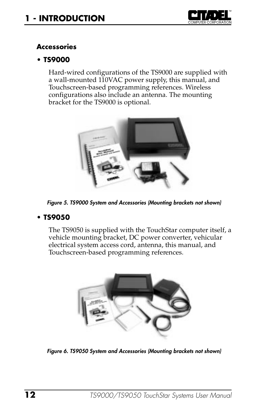

#### **Accessories**

#### **• TS9000**

Hard-wired configurations of the TS9000 are supplied with a wall-mounted 110VAC power supply, this manual, and Touchscreen-based programming references. Wireless configurations also include an antenna. The mounting bracket for the TS9000 is optional.



**Figure 5. TS9000 System and Accessories (Mounting brackets not shown)**

#### **• TS9050**

The TS9050 is supplied with the TouchStar computer itself, a vehicle mounting bracket, DC power converter, vehicular electrical system access cord, antenna, this manual, and Touchscreen-based programming references.



**Figure 6. TS9050 System and Accessories (Mounting brackets not shown)**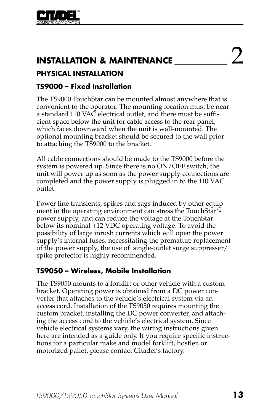

### **INSTALLATION & MAINTENANCE**

#### **PHYSICAL INSTALLATION TS9000 – Fixed Installation**

The TS9000 TouchStar can be mounted almost anywhere that is convenient to the operator. The mounting location must be near a standard 110 VAC electrical outlet, and there must be sufficient space below the unit for cable access to the rear panel, which faces downward when the unit is wall-mounted. The optional mounting bracket should be secured to the wall prior to attaching the TS9000 to the bracket.

All cable connections should be made to the TS9000 before the system is powered up. Since there is no ON/OFF switch, the unit will power up as soon as the power supply connections are completed and the power supply is plugged in to the 110 VAC outlet.

Power line transients, spikes and sags induced by other equipment in the operating environment can stress the TouchStar's power supply, and can reduce the voltage at the TouchStar below its nominal +12 VDC operating voltage. To avoid the possibility of large inrush currents which will open the power supply's internal fuses, necessitating the premature replacement of the power supply, the use of single-outlet surge suppresser/ spike protector is highly recommended.

#### **TS9050 – Wireless, Mobile Installation**

The TS9050 mounts to a forklift or other vehicle with a custom bracket. Operating power is obtained from a DC power converter that attaches to the vehicle's electrical system via an access cord. Installation of the TS9050 requires mounting the custom bracket, installing the DC power converter, and attaching the access cord to the vehicle's electrical system. Since vehicle electrical systems vary, the wiring instructions given here are intended as a guide only. If you require specific instructions for a particular make and model forklift, hostler, or motorized pallet, please contact Citadel's factory.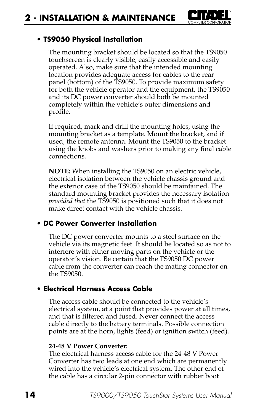

#### **• TS9050 Physical Installation**

The mounting bracket should be located so that the TS9050 touchscreen is clearly visible, easily accessible and easily operated. Also, make sure that the intended mounting location provides adequate access for cables to the rear panel (bottom) of the TS9050. To provide maximum safety for both the vehicle operator and the equipment, the TS9050 and its DC power converter should both be mounted completely within the vehicle's outer dimensions and profile.

If required, mark and drill the mounting holes, using the mounting bracket as a template. Mount the bracket, and if used, the remote antenna. Mount the TS9050 to the bracket using the knobs and washers prior to making any final cable connections.

**NOTE:** When installing the TS9050 on an electric vehicle, electrical isolation between the vehicle chassis ground and the exterior case of the TS9050 should be maintained. The standard mounting bracket provides the necessary isolation *provided that* the TS9050 is positioned such that it does not make direct contact with the vehicle chassis.

#### **• DC Power Converter Installation**

The DC power converter mounts to a steel surface on the vehicle via its magnetic feet. It should be located so as not to interfere with either moving parts on the vehicle or the operator's vision. Be certain that the TS9050 DC power cable from the converter can reach the mating connector on the TS9050.

#### **• Electrical Harness Access Cable**

The access cable should be connected to the vehicle's electrical system, at a point that provides power at all times, and that is filtered and fused. Never connect the access cable directly to the battery terminals. Possible connection points are at the horn, lights (feed) or ignition switch (feed).

#### **24-48 V Power Converter:**

The electrical harness access cable for the 24-48 V Power Converter has two leads at one end which are permanently wired into the vehicle's electrical system. The other end of the cable has a circular 2-pin connector with rubber boot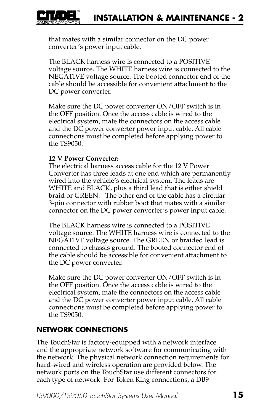that mates with a similar connector on the DC power converter's power input cable.

The BLACK harness wire is connected to a POSITIVE voltage source. The WHITE harness wire is connected to the NEGATIVE voltage source. The booted connector end of the cable should be accessible for convenient attachment to the DC power converter.

Make sure the DC power converter ON/OFF switch is in the OFF position. Once the access cable is wired to the electrical system, mate the connectors on the access cable and the DC power converter power input cable. All cable connections must be completed before applying power to the TS9050.

#### **12 V Power Converter:**

The electrical harness access cable for the 12 V Power Converter has three leads at one end which are permanently wired into the vehicle's electrical system. The leads are WHITE and BLACK, plus a third lead that is either shield braid or GREEN. The other end of the cable has a circular 3-pin connector with rubber boot that mates with a similar connector on the DC power converter's power input cable.

The BLACK harness wire is connected to a POSITIVE voltage source. The WHITE harness wire is connected to the NEGATIVE voltage source. The GREEN or braided lead is connected to chassis ground. The booted connector end of the cable should be accessible for convenient attachment to the DC power converter.

Make sure the DC power converter ON/OFF switch is in the OFF position. Once the access cable is wired to the electrical system, mate the connectors on the access cable and the DC power converter power input cable. All cable connections must be completed before applying power to the TS9050.

#### **NETWORK CONNECTIONS**

The TouchStar is factory-equipped with a network interface and the appropriate network software for communicating with the network. The physical network connection requirements for hard-wired and wireless operation are provided below. The network ports on the TouchStar use different connectors for each type of network. For Token Ring connections, a DB9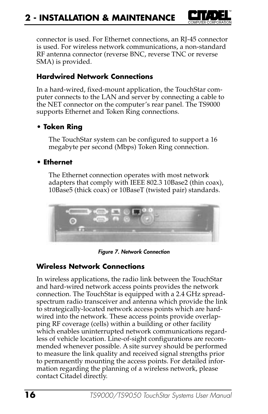

connector is used. For Ethernet connections, an RJ-45 connector is used. For wireless network communications, a non-standard RF antenna connector (reverse BNC, reverse TNC or reverse SMA) is provided.

#### **Hardwired Network Connections**

In a hard-wired, fixed-mount application, the TouchStar computer connects to the LAN and server by connecting a cable to the NET connector on the computer's rear panel. The TS9000 supports Ethernet and Token Ring connections.

#### **• Token Ring**

The TouchStar system can be configured to support a 16 megabyte per second (Mbps) Token Ring connection.

#### **• Ethernet**

The Ethernet connection operates with most network adapters that comply with IEEE 802.3 10Base2 (thin coax), 10Base5 (thick coax) or 10BaseT (twisted pair) standards.



**Figure 7. Network Connection**

#### **Wireless Network Connections**

In wireless applications, the radio link between the TouchStar and hard-wired network access points provides the network connection. The TouchStar is equipped with a 2.4 GHz spreadspectrum radio transceiver and antenna which provide the link to strategically-located network access points which are hardwired into the network. These access points provide overlapping RF coverage (cells) within a building or other facility which enables uninterrupted network communications regardless of vehicle location. Line-of-sight configurations are recommended whenever possible. A site survey should be performed to measure the link quality and received signal strengths prior to permanently mounting the access points. For detailed information regarding the planning of a wireless network, please contact Citadel directly.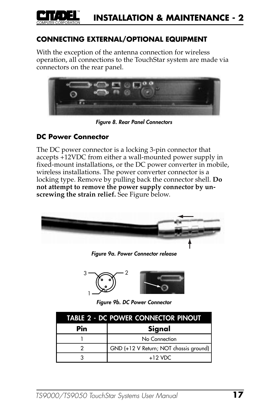

#### **CONNECTING EXTERNAL/OPTIONAL EQUIPMENT**

With the exception of the antenna connection for wireless operation, all connections to the TouchStar system are made via connectors on the rear panel.



**Figure 8. Rear Panel Connectors**

#### **DC Power Connector**

The DC power connector is a locking 3-pin connector that accepts +12VDC from either a wall-mounted power supply in fixed-mount installations, or the DC power converter in mobile, wireless installations. The power converter connector is a locking type. Remove by pulling back the connector shell. **Do not attempt to remove the power supply connector by unscrewing the strain relief.** See Figure below.



**Figure 9a. Power Connector release**



**Figure 9b. DC Power Connector**

| <b>TABLE 2 - DC POWER CONNECTOR PINOUT</b> |                                        |  |  |
|--------------------------------------------|----------------------------------------|--|--|
| Signal<br>Pin                              |                                        |  |  |
|                                            | No Connection                          |  |  |
| っ                                          | GND (+12 V Return; NOT chassis ground) |  |  |
|                                            | $+12$ VDC                              |  |  |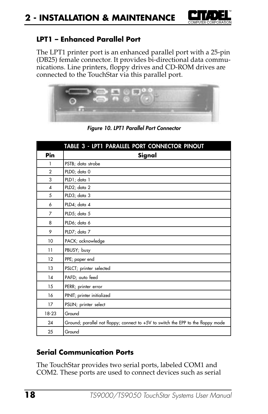

#### **LPT1 – Enhanced Parallel Port**

The LPT1 printer port is an enhanced parallel port with a 25-pin (DB25) female connector. It provides bi-directional data communications. Line printers, floppy drives and CD-ROM drives are connected to the TouchStar via this parallel port.



**TABLE 3 - LPT1 PARALLEL PORT CONNECTOR PINOUT**

**Figure 10. LPT1 Parallel Port Connector**

| Pin                     | Signal                                                                           |
|-------------------------|----------------------------------------------------------------------------------|
| 1                       | PSTB; data strobe                                                                |
| $\overline{2}$          | PLD0; data 0                                                                     |
| 3                       | PLD1; data 1                                                                     |
| $\overline{\mathbf{4}}$ | PLD2; data 2                                                                     |
| 5                       | PLD3; data 3                                                                     |
| 6                       | PLD4; data 4                                                                     |
| 7                       | PLD5; data 5                                                                     |
| 8                       | PLD6; data 6                                                                     |
| 9                       | PLD7; data 7                                                                     |
| 10                      | PACK; acknowledge                                                                |
| 11                      | PBUSY; busy                                                                      |
| 12                      | PPE; paper end                                                                   |
| 13                      | PSLCT; printer selected                                                          |
| 14                      | PAFD; auto feed                                                                  |
| 15                      | PERR; printer error                                                              |
| 16                      | PINIT; printer initialized                                                       |
| 17                      | PSLIN; printer select                                                            |
| 18-23                   | Ground                                                                           |
| 24                      | Ground; parallel not floppy; connect to +5V to switch the EPP to the floppy mode |
| 25                      | Ground                                                                           |

#### **Serial Communication Ports**

The TouchStar provides two serial ports, labeled COM1 and COM2. These ports are used to connect devices such as serial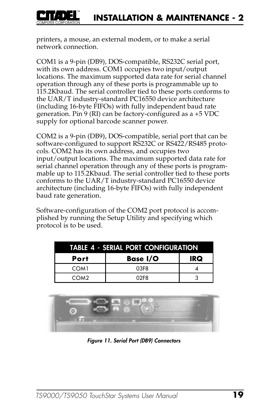

printers, a mouse, an external modem, or to make a serial network connection.

COM1 is a 9-pin (DB9), DOS-compatible, RS232C serial port, with its own address. COM1 occupies two input/output locations. The maximum supported data rate for serial channel operation through any of these ports is programmable up to 115.2Kbaud. The serial controller tied to these ports conforms to the UAR/T industry-standard PC16550 device architecture (including 16-byte FIFOs) with fully independent baud rate generation. Pin 9 (RI) can be factory-configured as a +5 VDC supply for optional barcode scanner power.

COM2 is a 9-pin (DB9), DOS-compatible, serial port that can be software-configured to support RS232C or RS422/RS485 protocols. COM2 has its own address, and occupies two input/output locations. The maximum supported data rate for serial channel operation through any of these ports is programmable up to 115.2Kbaud. The serial controller tied to these ports conforms to the UAR/T industry-standard PC16550 device architecture (including 16-byte FIFOs) with fully independent baud rate generation.

Software-configuration of the COM2 port protocol is accomplished by running the Setup Utility and specifying which protocol is to be used.

| <b>TABLE 4 - SERIAL PORT CONFIGURATION</b> |                 |     |  |
|--------------------------------------------|-----------------|-----|--|
| Port                                       | <b>Base I/O</b> | IRQ |  |
| COM <sub>1</sub>                           | 03F8            |     |  |
| COM2.                                      | 02F8            |     |  |



**Figure 11. Serial Port (DB9) Connectors**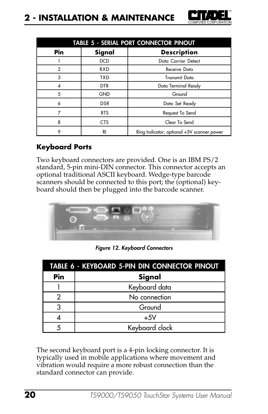

| TABLE 5 - SERIAL PORT CONNECTOR PINOUT |            |                                            |  |
|----------------------------------------|------------|--------------------------------------------|--|
| Pin                                    | Signal     | <b>Description</b>                         |  |
|                                        | <b>DCD</b> | Data Carrier Detect                        |  |
| $\overline{2}$                         | <b>RXD</b> | Receive Data                               |  |
| 3                                      | <b>TXD</b> | <b>Transmit Data</b>                       |  |
| 4                                      | <b>DTR</b> | Data Terminal Ready                        |  |
| 5                                      | <b>GND</b> | Ground                                     |  |
| 6                                      | <b>DSR</b> | Data Set Ready                             |  |
| 7                                      | <b>RTS</b> | Request To Send                            |  |
| 8                                      | <b>CTS</b> | Clear To Send                              |  |
| 9                                      | RI         | Ring Indicator; optional +5V scanner power |  |

#### **Keyboard Ports**

Two keyboard connectors are provided. One is an IBM PS/2 standard, 5-pin mini-DIN connector. This connector accepts an optional traditional ASCII keyboard. Wedge-type barcode scanners should be connected to this port; the (optional) keyboard should then be plugged into the barcode scanner.



**Figure 12. Keyboard Connectors**

| TABLE 6 - KEYBOARD 5-PIN DIN CONNECTOR PINOUT |                |  |  |
|-----------------------------------------------|----------------|--|--|
| Pin                                           | Signal         |  |  |
|                                               | Keyboard data  |  |  |
| 2                                             | No connection  |  |  |
| 3                                             | Ground         |  |  |
|                                               | $+5V$          |  |  |
|                                               | Keyboard clock |  |  |

The second keyboard port is a 4-pin locking connector. It is typically used in mobile applications where movement and vibration would require a more robust connection than the standard connector can provide.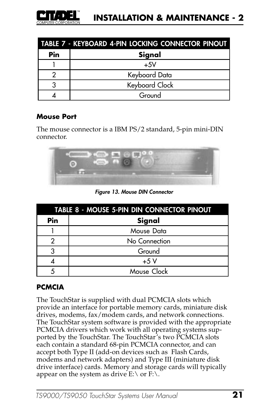

| TABLE 7 - KEYBOARD 4-PIN LOCKING CONNECTOR PINOUT |                |  |
|---------------------------------------------------|----------------|--|
| Pin                                               | Signal         |  |
|                                                   | $+5V$          |  |
|                                                   | Keyboard Data  |  |
|                                                   | Keyboard Clock |  |
|                                                   | Ground         |  |

#### **Mouse Port**

The mouse connector is a IBM PS/2 standard, 5-pin mini-DIN connector.



**Figure 13. Mouse DIN Connector**

| TABLE 8 - MOUSE 5-PIN DIN CONNECTOR PINOUT |               |  |  |
|--------------------------------------------|---------------|--|--|
| Pin                                        | Signal        |  |  |
|                                            | Mouse Data    |  |  |
|                                            | No Connection |  |  |
| 3                                          | Ground        |  |  |
|                                            | $+5V$         |  |  |
|                                            | Mouse Clock   |  |  |

#### **PCMCIA**

The TouchStar is supplied with dual PCMCIA slots which provide an interface for portable memory cards, miniature disk drives, modems, fax/modem cards, and network connections. The TouchStar system software is provided with the appropriate PCMCIA drivers which work with all operating systems supported by the TouchStar. The TouchStar's two PCMCIA slots each contain a standard 68-pin PCMCIA connector, and can accept both Type II (add-on devices such as Flash Cards, modems and network adapters) and Type III (miniature disk drive interface) cards. Memory and storage cards will typically appear on the system as drive  $E:\ \ or F:\ \ .$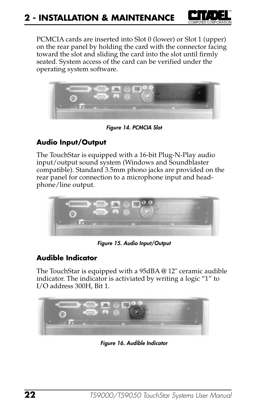

PCMCIA cards are inserted into Slot 0 (lower) or Slot 1 (upper) on the rear panel by holding the card with the connector facing toward the slot and sliding the card into the slot until firmly seated. System access of the card can be verified under the operating system software.



**Figure 14. PCMCIA Slot**

#### **Audio Input/Output**

The TouchStar is equipped with a 16-bit Plug-N-Play audio input/output sound system (Windows and Soundblaster compatible). Standard 3.5mm phono jacks are provided on the rear panel for connection to a microphone input and headphone/line output.



**Figure 15. Audio Input/Output**

#### **Audible Indicator**

The TouchStar is equipped with a 95dBA @ 12" ceramic audible indicator. The indicator is activiated by writing a logic "1" to I/O address 300H, Bit 1.



**Figure 16. Audible Indicator**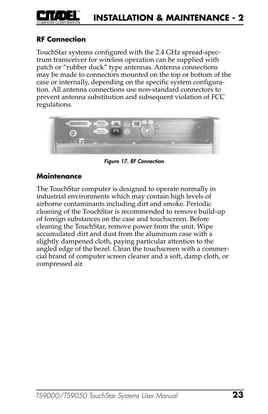

#### **RF Connection**

TouchStar systems configured with the 2.4 GHz spread-spectrum transceiver for wireless operation can be supplied with patch or "rubber duck" type antennas. Antenna connections may be made to connectors mounted on the top or bottom of the case or internally, depending on the specific system configuration. All antenna connections use non-standard connectors to prevent antenna substitution and subsequent violation of FCC regulations.



**Figure 17. RF Connection**

#### **Maintenance**

The TouchStar computer is designed to operate normally in industrial environments which may contain high levels of airborne contaminants including dirt and smoke. Periodic cleaning of the TouchStar is recommended to remove build-up of foreign substances on the case and touchscreen. Before cleaning the TouchStar, remove power from the unit. Wipe accumulated dirt and dust from the aluminum case with a slightly dampened cloth, paying particular attention to the angled edge of the bezel. Clean the touchscreen with a commercial brand of computer screen cleaner and a soft, damp cloth, or compressed air.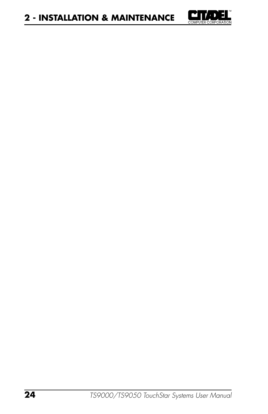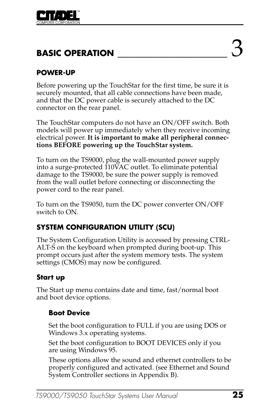

### **BASIC OPERATION**

#### **POWER-UP**

Before powering up the TouchStar for the first time, be sure it is securely mounted, that all cable connections have been made, and that the DC power cable is securely attached to the DC connector on the rear panel.

The TouchStar computers do not have an ON/OFF switch. Both models will power up immediately when they receive incoming electrical power. **It is important to make all peripheral connections BEFORE powering up the TouchStar system.**

To turn on the TS9000, plug the wall-mounted power supply into a surge-protected 110VAC outlet. To eliminate potential damage to the TS9000, be sure the power supply is removed from the wall outlet before connecting or disconnecting the power cord to the rear panel.

To turn on the TS9050, turn the DC power converter ON/OFF switch to ON.

#### **SYSTEM CONFIGURATION UTILITY (SCU)**

The System Configuration Utility is accessed by pressing CTRL-ALT-S on the keyboard when prompted during boot-up. This prompt occurs just after the system memory tests. The system settings (CMOS) may now be configured.

#### **Start up**

The Start up menu contains date and time, fast/normal boot and boot device options.

#### **Boot Device**

Set the boot configuration to FULL if you are using DOS or Windows 3.x operating systems.

Set the boot configuration to BOOT DEVICES only if you are using Windows 95.

These options allow the sound and ethernet controllers to be properly configured and activated. (see Ethernet and Sound System Controller sections in Appendix B).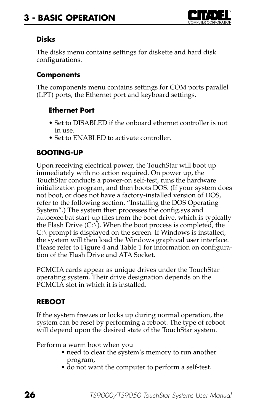

#### **Disks**

The disks menu contains settings for diskette and hard disk configurations.

#### **Components**

The components menu contains settings for COM ports parallel (LPT) ports, the Ethernet port and keyboard settings.

#### **Ethernet Port**

- Set to DISABLED if the onboard ethernet controller is not in use.
- Set to ENABLED to activate controller.

#### **BOOTING-UP**

Upon receiving electrical power, the TouchStar will boot up immediately with no action required. On power up, the TouchStar conducts a power-on self-test, runs the hardware initialization program, and then boots DOS. (If your system does not boot, or does not have a factory-installed version of DOS, refer to the following section, "Installing the DOS Operating System".) The system then processes the config.sys and autoexec.bat start-up files from the boot drive, which is typically the Flash Drive  $(C:\S)$ . When the boot process is completed, the  $C:\$  prompt is displayed on the screen. If Windows is installed, the system will then load the Windows graphical user interface. Please refer to Figure 4 and Table 1 for information on configuration of the Flash Drive and ATA Socket.

PCMCIA cards appear as unique drives under the TouchStar operating system. Their drive designation depends on the PCMCIA slot in which it is installed.

#### **REBOOT**

If the system freezes or locks up during normal operation, the system can be reset by performing a reboot. The type of reboot will depend upon the desired state of the TouchStar system.

Perform a warm boot when you

- need to clear the system's memory to run another program,
- do not want the computer to perform a self-test.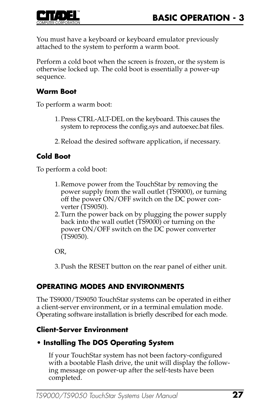

You must have a keyboard or keyboard emulator previously attached to the system to perform a warm boot.

Perform a cold boot when the screen is frozen, or the system is otherwise locked up. The cold boot is essentially a power-up sequence.

#### **Warm Boot**

To perform a warm boot:

- 1. Press CTRL-ALT-DEL on the keyboard. This causes the system to reprocess the config.sys and autoexec.bat files.
- 2. Reload the desired software application, if necessary.

#### **Cold Boot**

To perform a cold boot:

- 1. Remove power from the TouchStar by removing the power supply from the wall outlet (TS9000), or turning off the power ON/OFF switch on the DC power converter (TS9050).
- 2. Turn the power back on by plugging the power supply back into the wall outlet (TS9000) or turning on the power ON/OFF switch on the DC power converter (TS9050).

OR,

3. Push the RESET button on the rear panel of either unit.

#### **OPERATING MODES AND ENVIRONMENTS**

The TS9000/TS9050 TouchStar systems can be operated in either a client-server environment, or in a terminal emulation mode. Operating software installation is briefly described for each mode.

#### **Client-Server Environment**

**• Installing The DOS Operating System**

If your TouchStar system has not been factory-configured with a bootable Flash drive, the unit will display the following message on power-up after the self-tests have been completed.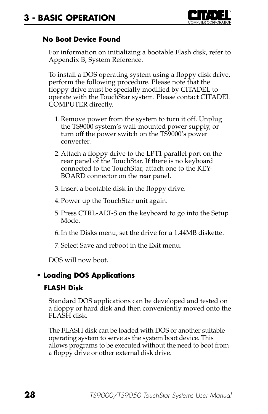

#### **No Boot Device Found**

For information on initializing a bootable Flash disk, refer to Appendix B, System Reference.

To install a DOS operating system using a floppy disk drive, perform the following procedure. Please note that the floppy drive must be specially modified by CITADEL to operate with the TouchStar system. Please contact CITADEL COMPUTER directly.

- 1. Remove power from the system to turn it off. Unplug the TS9000 system's wall-mounted power supply, or turn off the power switch on the TS9000's power converter.
- 2. Attach a floppy drive to the LPT1 parallel port on the rear panel of the TouchStar. If there is no keyboard connected to the TouchStar, attach one to the KEY-BOARD connector on the rear panel.
- 3. Insert a bootable disk in the floppy drive.
- 4. Power up the TouchStar unit again.
- 5. Press CTRL-ALT-S on the keyboard to go into the Setup Mode.
- 6. In the Disks menu, set the drive for a 1.44MB diskette.
- 7. Select Save and reboot in the Exit menu.

DOS will now boot.

#### **• Loading DOS Applications**

#### **FLASH Disk**

Standard DOS applications can be developed and tested on a floppy or hard disk and then conveniently moved onto the FLASH disk.

The FLASH disk can be loaded with DOS or another suitable operating system to serve as the system boot device. This allows programs to be executed without the need to boot from a floppy drive or other external disk drive.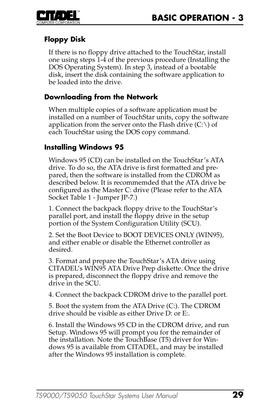

#### **Floppy Disk**

If there is no floppy drive attached to the TouchStar, install one using steps 1-4 of the previous procedure (Installing the DOS Operating System). In step 3, instead of a bootable disk, insert the disk containing the software application to be loaded into the drive.

#### **Downloading from the Network**

When multiple copies of a software application must be installed on a number of TouchStar units, copy the software application from the server onto the Flash drive  $(C:\)$  of each TouchStar using the DOS copy command.

#### **Installing Windows 95**

Windows 95 (CD) can be installed on the TouchStar's ATA drive. To do so, the ATA drive is first formatted and prepared, then the software is installed from the CDROM as described below. It is recommemded that the ATA drive be configured as the Master C: drive (Please refer to the ATA Socket Table 1 - Jumper JP-7.)

1. Connect the backpack floppy drive to the TouchStar's parallel port, and install the floppy drive in the setup portion of the System Configuration Utility (SCU).

2. Set the Boot Device to BOOT DEVICES ONLY (WIN95), and either enable or disable the Ethernet controller as desired.

3. Format and prepare the TouchStar's ATA drive using CITADEL's WIN95 ATA Drive Prep diskette. Once the drive is prepared, disconnect the floppy drive and remove the drive in the SCU.

4. Connect the backpack CDROM drive to the parallel port.

5. Boot the system from the ATA Drive (C:). The CDROM drive should be visible as either Drive D: or E:.

6. Install the Windows 95 CD in the CDROM drive, and run Setup. Windows 95 will prompt you for the remainder of the installation. Note the TouchBase (T5) driver for Windows 95 is available from CITADEL, and may be installed after the Windows 95 installation is complete.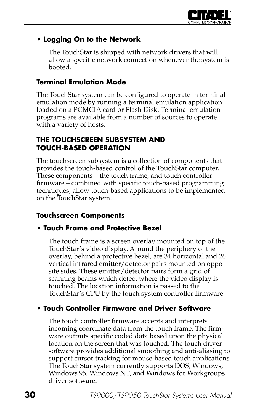

#### **• Logging On to the Network**

The TouchStar is shipped with network drivers that will allow a specific network connection whenever the system is booted.

#### **Terminal Emulation Mode**

The TouchStar system can be configured to operate in terminal emulation mode by running a terminal emulation application loaded on a PCMCIA card or Flash Disk. Terminal emulation programs are available from a number of sources to operate with a variety of hosts.

#### **THE TOUCHSCREEN SUBSYSTEM AND TOUCH-BASED OPERATION**

The touchscreen subsystem is a collection of components that provides the touch-based control of the TouchStar computer. These components – the touch frame, and touch controller firmware – combined with specific touch-based programming techniques, allow touch-based applications to be implemented on the TouchStar system.

#### **Touchscreen Components**

#### **• Touch Frame and Protective Bezel**

The touch frame is a screen overlay mounted on top of the TouchStar's video display. Around the periphery of the overlay, behind a protective bezel, are 34 horizontal and 26 vertical infrared emitter/detector pairs mounted on opposite sides. These emitter/detector pairs form a grid of scanning beams which detect where the video display is touched. The location information is passed to the TouchStar's CPU by the touch system controller firmware.

#### **• Touch Controller Firmware and Driver Software**

The touch controller firmware accepts and interprets incoming coordinate data from the touch frame. The firmware outputs specific coded data based upon the physical location on the screen that was touched. The touch driver software provides additional smoothing and anti-aliasing to support cursor tracking for mouse-based touch applications. The TouchStar system currently supports DOS, Windows, Windows 95, Windows NT, and Windows for Workgroups driver software.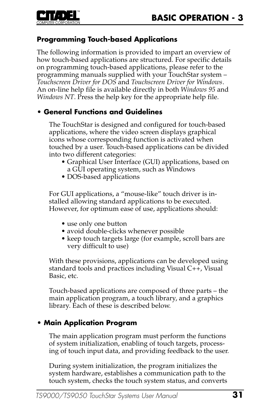

#### **Programming Touch-based Applications**

The following information is provided to impart an overview of how touch-based applications are structured. For specific details on programming touch-based applications, please refer to the programming manuals supplied with your TouchStar system – *Touchscreen Driver for DOS* and *Touchscreen Driver for Windows*. An on-line help file is available directly in both *Windows 95* and *Windows NT*. Press the help key for the appropriate help file.

#### **• General Functions and Guidelines**

The TouchStar is designed and configured for touch-based applications, where the video screen displays graphical icons whose corresponding function is activated when touched by a user. Touch-based applications can be divided into two different categories:

- Graphical User Interface (GUI) applications, based on a GUI operating system, such as Windows
- DOS-based applications

For GUI applications, a "mouse-like" touch driver is installed allowing standard applications to be executed. However, for optimum ease of use, applications should:

- use only one button
- avoid double-clicks whenever possible
- keep touch targets large (for example, scroll bars are very difficult to use)

With these provisions, applications can be developed using standard tools and practices including Visual C++, Visual Basic, etc.

Touch-based applications are composed of three parts – the main application program, a touch library, and a graphics library. Each of these is described below.

#### **• Main Application Program**

The main application program must perform the functions of system initialization, enabling of touch targets, processing of touch input data, and providing feedback to the user.

During system initialization, the program initializes the system hardware, establishes a communication path to the touch system, checks the touch system status, and converts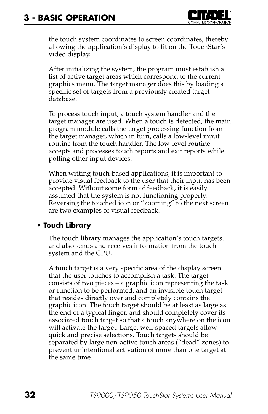

the touch system coordinates to screen coordinates, thereby allowing the application's display to fit on the TouchStar's video display.

After initializing the system, the program must establish a list of active target areas which correspond to the current graphics menu. The target manager does this by loading a specific set of targets from a previously created target database.

To process touch input, a touch system handler and the target manager are used. When a touch is detected, the main program module calls the target processing function from the target manager, which in turn, calls a low-level input routine from the touch handler. The low-level routine accepts and processes touch reports and exit reports while polling other input devices.

When writing touch-based applications, it is important to provide visual feedback to the user that their input has been accepted. Without some form of feedback, it is easily assumed that the system is not functioning properly. Reversing the touched icon or "zooming" to the next screen are two examples of visual feedback.

#### **• Touch Library**

The touch library manages the application's touch targets, and also sends and receives information from the touch system and the CPU.

A touch target is a very specific area of the display screen that the user touches to accomplish a task. The target consists of two pieces – a graphic icon representing the task or function to be performed, and an invisible touch target that resides directly over and completely contains the graphic icon. The touch target should be at least as large as the end of a typical finger, and should completely cover its associated touch target so that a touch anywhere on the icon will activate the target. Large, well-spaced targets allow quick and precise selections. Touch targets should be separated by large non-active touch areas ("dead" zones) to prevent unintentional activation of more than one target at the same time.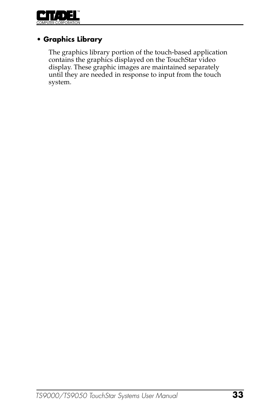

#### **• Graphics Library**

The graphics library portion of the touch-based application contains the graphics displayed on the TouchStar video display. These graphic images are maintained separately until they are needed in response to input from the touch system.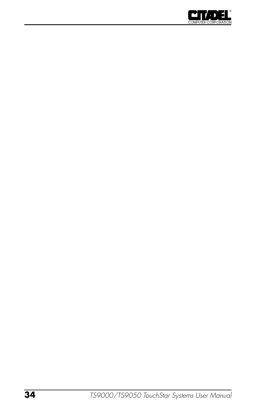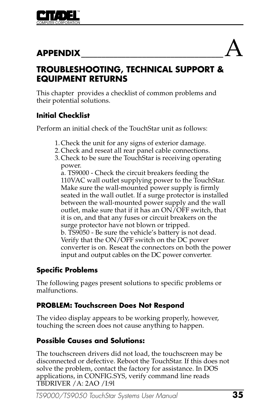

# **APPENDIX\_\_\_\_\_\_\_\_\_\_\_\_\_\_\_\_\_\_\_\_\_\_\_\_\_\_\_\_\_\_\_\_\_\_\_**A



#### **TROUBLESHOOTING, TECHNICAL SUPPORT & EQUIPMENT RETURNS**

This chapter provides a checklist of common problems and their potential solutions.

#### **Initial Checklist**

Perform an initial check of the TouchStar unit as follows:

- 1. Check the unit for any signs of exterior damage.
- 2. Check and reseat all rear panel cable connections.
- 3. Check to be sure the TouchStar is receiving operating power.

a. TS9000 - Check the circuit breakers feeding the 110VAC wall outlet supplying power to the TouchStar. Make sure the wall-mounted power supply is firmly seated in the wall outlet. If a surge protector is installed between the wall-mounted power supply and the wall outlet, make sure that if it has an ON/OFF switch, that it is on, and that any fuses or circuit breakers on the surge protector have not blown or tripped. b. TS9050 - Be sure the vehicle's battery is not dead. Verify that the ON/OFF switch on the DC power converter is on. Reseat the connectors on both the power input and output cables on the DC power converter.

#### **Specific Problems**

The following pages present solutions to specific problems or malfunctions.

#### **PROBLEM: Touchscreen Does Not Respond**

The video display appears to be working properly, however, touching the screen does not cause anything to happen.

#### **Possible Causes and Solutions:**

The touchscreen drivers did not load, the touchscreen may be disconnected or defective. Reboot the TouchStar. If this does not solve the problem, contact the factory for assistance. In DOS applications, in CONFIG.SYS, verify command line reads TBDRIVER /A: 2AO /I:9l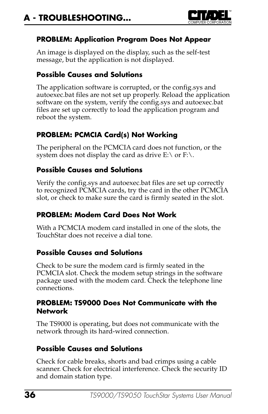

#### **PROBLEM: Application Program Does Not Appear**

An image is displayed on the display, such as the self-test message, but the application is not displayed.

#### **Possible Causes and Solutions**

The application software is corrupted, or the config.sys and autoexec.bat files are not set up properly. Reload the application software on the system, verify the config.sys and autoexec.bat files are set up correctly to load the application program and reboot the system.

#### **PROBLEM: PCMCIA Card(s) Not Working**

The peripheral on the PCMCIA card does not function, or the system does not display the card as drive  $E:\ \ or \ F:\ \$ .

#### **Possible Causes and Solutions**

Verify the config.sys and autoexec.bat files are set up correctly to recognized PCMCIA cards, try the card in the other PCMCIA slot, or check to make sure the card is firmly seated in the slot.

#### **PROBLEM: Modem Card Does Not Work**

With a PCMCIA modem card installed in one of the slots, the TouchStar does not receive a dial tone.

#### **Possible Causes and Solutions**

Check to be sure the modem card is firmly seated in the PCMCIA slot. Check the modem setup strings in the software package used with the modem card. Check the telephone line connections.

#### **PROBLEM: TS9000 Does Not Communicate with the Network**

The TS9000 is operating, but does not communicate with the network through its hard-wired connection.

#### **Possible Causes and Solutions**

Check for cable breaks, shorts and bad crimps using a cable scanner. Check for electrical interference. Check the security ID and domain station type.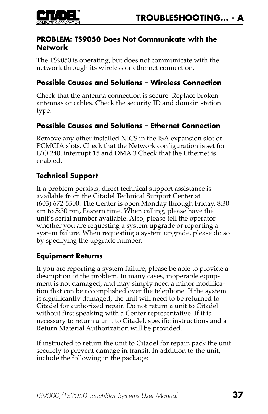

#### **PROBLEM: TS9050 Does Not Communicate with the Network**

The TS9050 is operating, but does not communicate with the network through its wireless or ethernet connection.

#### **Possible Causes and Solutions – Wireless Connection**

Check that the antenna connection is secure. Replace broken antennas or cables. Check the security ID and domain station type.

#### **Possible Causes and Solutions – Ethernet Connection**

Remove any other installed NICS in the ISA expansion slot or PCMCIA slots. Check that the Network configuration is set for I/O 240, interrupt 15 and DMA 3.Check that the Ethernet is enabled.

#### **Technical Support**

If a problem persists, direct technical support assistance is available from the Citadel Technical Support Center at (603)␣ 672-5500. The Center is open Monday through Friday, 8:30 am to 5:30 pm, Eastern time. When calling, please have the unit's serial number available. Also, please tell the operator whether you are requesting a system upgrade or reporting a system failure. When requesting a system upgrade, please do so by specifying the upgrade number.

#### **Equipment Returns**

If you are reporting a system failure, please be able to provide a description of the problem. In many cases, inoperable equipment is not damaged, and may simply need a minor modification that can be accomplished over the telephone. If the system is significantly damaged, the unit will need to be returned to Citadel for authorized repair. Do not return a unit to Citadel without first speaking with a Center representative. If it is necessary to return a unit to Citadel, specific instructions and a Return Material Authorization will be provided.

If instructed to return the unit to Citadel for repair, pack the unit securely to prevent damage in transit. In addition to the unit, include the following in the package: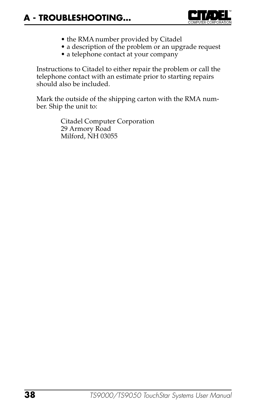

- the RMA number provided by Citadel
- a description of the problem or an upgrade request
- a telephone contact at your company

Instructions to Citadel to either repair the problem or call the telephone contact with an estimate prior to starting repairs should also be included.

Mark the outside of the shipping carton with the RMA number. Ship the unit to:

> Citadel Computer Corporation 29 Armory Road Milford, NH 03055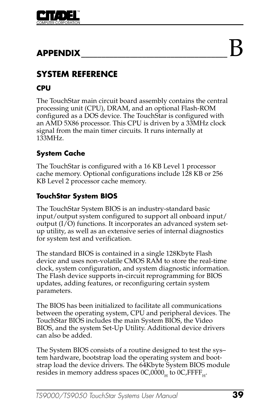

# **APPENDIX\_\_\_\_\_\_\_\_\_\_\_\_\_\_\_\_\_\_\_\_\_\_\_\_\_\_\_\_\_\_\_\_\_\_\_\_**B

### **SYSTEM REFERENCE**

#### **CPU**

The TouchStar main circuit board assembly contains the central processing unit (CPU), DRAM, and an optional Flash-ROM configured as a DOS device. The TouchStar is configured with an AMD 5X86 processor. This CPU is driven by a 33MHz clock signal from the main timer circuits. It runs internally at 133MHz.

#### **System Cache**

The TouchStar is configured with a 16 KB Level 1 processor cache memory. Optional configurations include 128 KB or 256 KB Level 2 processor cache memory.

#### **TouchStar System BIOS**

The TouchStar System BIOS is an industry-standard basic input/output system configured to support all onboard input/ output (I/O) functions. It incorporates an advanced system setup utility, as well as an extensive series of internal diagnostics for system test and verification.

The standard BIOS is contained in a single 128Kbyte Flash device and uses non-volatile CMOS RAM to store the real-time clock, system configuration, and system diagnostic information. The Flash device supports in-circuit reprogramming for BIOS updates, adding features, or reconfiguring certain system parameters.

The BIOS has been initialized to facilitate all communications between the operating system, CPU and peripheral devices. The TouchStar BIOS includes the main System BIOS, the Video BIOS, and the system Set-Up Utility. Additional device drivers can also be added.

The System BIOS consists of a routine designed to test the sys– tem hardware, bootstrap load the operating system and bootstrap load the device drivers. The 64Kbyte System BIOS module resides in memory address spaces  $0C,0000_H$  to  $0C,FFFF_H$ .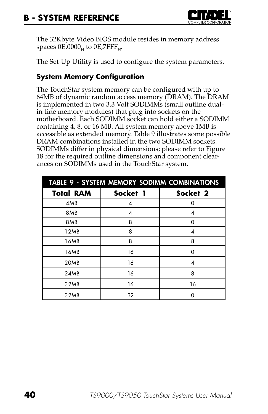

The 32Kbyte Video BIOS module resides in memory address spaces  $0E,0000_H$  to  $0E,7FFF_H$ .

The Set-Up Utility is used to configure the system parameters.

#### **System Memory Configuration**

The TouchStar system memory can be configured with up to 64MB of dynamic random access memory (DRAM). The DRAM is implemented in two 3.3 Volt SODIMMs (small outline dualin-line memory modules) that plug into sockets on the motherboard. Each SODIMM socket can hold either a SODIMM containing 4, 8, or 16 MB. All system memory above 1MB is accessible as extended memory. Table 9 illustrates some possible DRAM combinations installed in the two SODIMM sockets. SODIMMs differ in physical dimensions; please refer to Figure 18 for the required outline dimensions and component clearances on SODIMMs used in the TouchStar system.

| TABLE 9 - SYSTEM MEMORY SODIMM COMBINATIONS |          |          |  |
|---------------------------------------------|----------|----------|--|
| <b>Total RAM</b>                            | Socket 1 | Socket 2 |  |
| 4MB                                         | ◢        |          |  |
| 8MB                                         | ◢        | 4        |  |
| 8MB                                         | 8        |          |  |
| 12MB                                        | 8        | ◢        |  |
| 16MB                                        | 8        | 8        |  |
| 16MB                                        | 16       | Ω        |  |
| 20MB                                        | 16       | 4        |  |
| 24MB                                        | 16       | 8        |  |
| 32MB                                        | 16       | 16       |  |
| 32MB                                        | 32       |          |  |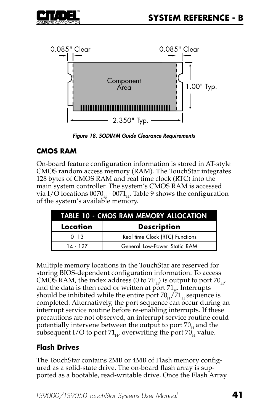



**Figure 18. SODIMM Guide Clearance Requirements**

#### **CMOS RAM**

On-board feature configuration information is stored in AT-style CMOS random access memory (RAM). The TouchStar integrates 128 bytes of CMOS RAM and real time clock (RTC) into the main system controller. The system's CMOS RAM is accessed via I/O locations 0070<sub>H</sub> - 0071<sub>H</sub>. Table 9 shows the configuration of the system's available memory.

| TABLE 10 - CMOS RAM MEMORY ALLOCATION |                                 |
|---------------------------------------|---------------------------------|
| Location                              | <b>Description</b>              |
| $0 - 13$                              | Real-time Clock (RTC) Functions |
| 14 - 127                              | General Low-Power Static RAM    |

Multiple memory locations in the TouchStar are reserved for storing BIOS-dependent configuration information. To access CMOS RAM, the index address (0 to  $7F_{H}$ ) is output to port  $70_{H}$ , and the data is then read or written at port  $71<sub>µ</sub>$ . Interrupts should be inhibited while the entire port  $70_H/71_H$  sequence is completed. Alternatively, the port sequence can occur during an interrupt service routine before re-enabling interrupts. If these precautions are not observed, an interrupt service routine could potentially intervene between the output to port  $70<sub>H</sub>$  and the subsequent I/O to port  $71_H$ , overwriting the port  $70<sub>H</sub><sup>T</sup>$  value.

#### **Flash Drives**

The TouchStar contains 2MB or 4MB of Flash memory configured as a solid-state drive. The on-board flash array is supported as a bootable, read-writable drive. Once the Flash Array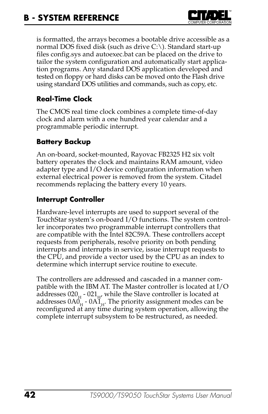

is formatted, the arrays becomes a bootable drive accessible as a normal DOS fixed disk (such as drive C:\). Standard start-up files config.sys and autoexec.bat can be placed on the drive to tailor the system configuration and automatically start application programs. Any standard DOS application developed and tested on floppy or hard disks can be moved onto the Flash drive using standard DOS utilities and commands, such as copy, etc.

#### **Real-Time Clock**

The CMOS real time clock combines a complete time-of-day clock and alarm with a one hundred year calendar and a programmable periodic interrupt.

#### **Battery Backup**

An on-board, socket-mounted, Rayovac FB2325 H2 six volt battery operates the clock and maintains RAM amount, video adapter type and I/O device configuration information when external electrical power is removed from the system. Citadel recommends replacing the battery every 10 years.

#### **Interrupt Controller**

Hardware-level interrupts are used to support several of the TouchStar system's on-board I/O functions. The system controller incorporates two programmable interrupt controllers that are compatible with the Intel 82C59A. These controllers accept requests from peripherals, resolve priority on both pending interrupts and interrupts in service, issue interrupt requests to the CPU, and provide a vector used by the CPU as an index to determine which interrupt service routine to execute.

The controllers are addressed and cascaded in a manner compatible with the IBM AT. The Master controller is located at I/O addresses  $020_H$  -  $021_H$ , while the Slave controller is located at addresses  $0A0_H^+$  -  $0A1_H^+$ . The priority assignment modes can be reconfigured at any time during system operation, allowing the complete interrupt subsystem to be restructured, as needed.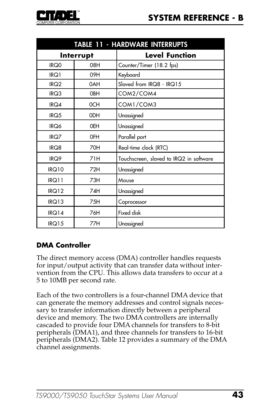

| <b>TABLE 11 - HARDWARE INTERRUPTS</b> |                 |                                         |
|---------------------------------------|-----------------|-----------------------------------------|
|                                       | Interrupt       | <b>Level Function</b>                   |
| IRQ0                                  | 08H             | Counter/Timer (18.2 fps)                |
| IRQ1                                  | 09H             | Keyboard                                |
| IRQ <sub>2</sub>                      | 0AH             | Slaved from IRQ8 - IRQ15                |
| IRQ3                                  | <b>OBH</b>      | COM2/COM4                               |
| IRQ4                                  | 0CH             | COM1/COM3                               |
| IRQ5                                  | 0 <sub>DH</sub> | Unassigned                              |
| IRQ6                                  | <b>OEH</b>      | Unassigned                              |
| IRQ7                                  | 0FH             | Parallel port                           |
| IRQ8                                  | 70H             | Real-time clock (RTC)                   |
| IRQ9                                  | 71H             | Touchscreen, slaved to IRQ2 in software |
| IRQ10                                 | 72H             | Unassigned                              |
| IRQ11                                 | 73H             | Mouse                                   |
| <b>IRQ12</b>                          | 74H             | Unassigned                              |
| IRQ13                                 | 75H             | Coprocessor                             |
| IRQ14                                 | 76H             | <b>Fixed disk</b>                       |
| <b>IRQ15</b>                          | 77H             | Unassigned                              |

#### **DMA Controller**

The direct memory access (DMA) controller handles requests for input/output activity that can transfer data without intervention from the CPU. This allows data transfers to occur at a 5 to 10MB per second rate.

Each of the two controllers is a four-channel DMA device that can generate the memory addresses and control signals necessary to transfer information directly between a peripheral device and memory. The two DMA controllers are internally cascaded to provide four DMA channels for transfers to 8-bit peripherals (DMA1), and three channels for transfers to 16-bit peripherals (DMA2). Table 12 provides a summary of the DMA channel assignments.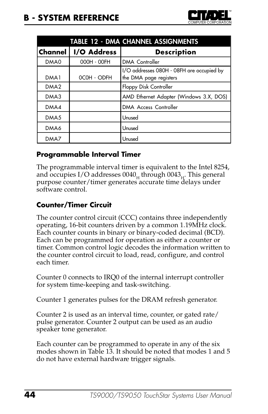| <b>TABLE 12 - DMA CHANNEL ASSIGNMENTS</b> |             |                                                                     |
|-------------------------------------------|-------------|---------------------------------------------------------------------|
| <b>Channel</b>                            | I/O Address | <b>Description</b>                                                  |
| DMA0                                      | 000H - 00FH | DMA Controller                                                      |
| DMA <sub>1</sub>                          | OCOH - ODFH | I/O addresses 080H - 08FH are occupied by<br>the DMA page registers |
| DMA <sub>2</sub>                          |             | Floppy Disk Controller                                              |
| DMA3                                      |             | AMD Ethernet Adapter (Windows 3.X, DOS)                             |
| DMA4                                      |             | DMA Access Controller                                               |
| DMA5                                      |             | Unused                                                              |
| DMA6                                      |             | Unused                                                              |
| DMA7                                      |             | Unused                                                              |

#### **Programmable Interval Timer**

The programmable interval timer is equivalent to the Intel 8254, and occupies I/O addresses  $0040_H$  through  $0043_H$ . This general purpose counter/timer generates accurate time delays under software control.

#### **Counter/Timer Circuit**

The counter control circuit (CCC) contains three independently operating, 16-bit counters driven by a common 1.19MHz clock. Each counter counts in binary or binary-coded decimal (BCD). Each can be programmed for operation as either a counter or timer. Common control logic decodes the information written to the counter control circuit to load, read, configure, and control each timer.

Counter 0 connects to IRQ0 of the internal interrupt controller for system time-keeping and task-switching.

Counter 1 generates pulses for the DRAM refresh generator.

Counter 2 is used as an interval time, counter, or gated rate/ pulse generator. Counter 2 output can be used as an audio speaker tone generator.

Each counter can be programmed to operate in any of the six modes shown in Table 13. It should be noted that modes 1 and 5 do not have external hardware trigger signals.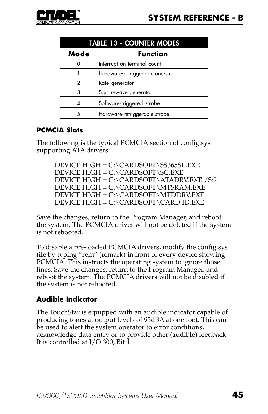

| <b>TABLE 13 - COUNTER MODES</b> |                                 |
|---------------------------------|---------------------------------|
| Mode                            | <b>Function</b>                 |
|                                 | Interrupt on terminal count     |
|                                 | Hardware-retriggerable one-shot |
| 2                               | Rate generator                  |
| 3                               | Squarewave generator            |
|                                 | Software-triggered strobe       |
| 5                               | Hardware-retriggerable strobe   |

#### **PCMCIA Slots**

The following is the typical PCMCIA section of config.sys supporting ATA drivers:

> DEVICE HIGH = C:\CARDSOFT\SS365SL.EXE DEVICE HIGH = C:\CARDSOFT\SC.EXE DEVICE HIGH = C:\CARDSOFT\ATADRV.EXE /S:2 DEVICE HIGH = C:\CARDSOFT\MTSRAM.EXE DEVICE HIGH = C:\CARDSOFT\MTDDRV.EXE DEVICE HIGH = C:\CARDSOFT\CARD ID.EXE

Save the changes, return to the Program Manager, and reboot the system. The PCMCIA driver will not be deleted if the system is not rebooted.

To disable a pre-loaded PCMCIA drivers, modify the config.sys file by typing "rem" (remark) in front of every device showing PCMCIA. This instructs the operating system to ignore those lines. Save the changes, return to the Program Manager, and reboot the system. The PCMCIA drivers will not be disabled if the system is not rebooted.

#### **Audible Indicator**

The TouchStar is equipped with an audible indicator capable of producing tones at output levels of 95dBA at one foot. This can be used to alert the system operator to error conditions, acknowledge data entry or to provide other (audible) feedback. It is controlled at I/O 300, Bit 1.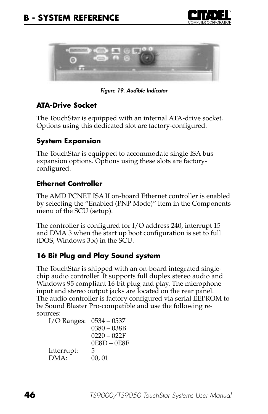



**Figure 19. Audible Indicator**

#### **ATA-Drive Socket**

The TouchStar is equipped with an internal ATA-drive socket. Options using this dedicated slot are factory-configured.

#### **System Expansion**

The TouchStar is equipped to accommodate single ISA bus expansion options. Options using these slots are factoryconfigured.

#### **Ethernet Controller**

The AMD PCNET ISA II on-board Ethernet controller is enabled by selecting the "Enabled (PNP Mode)" item in the Components menu of the SCU (setup).

The controller is configured for I/O address 240, interrupt 15 and DMA 3 when the start up boot configuration is set to full (DOS, Windows 3.x) in the SCU.

#### **16 Bit Plug and Play Sound system**

The TouchStar is shipped with an on-board integrated singlechip audio controller. It supports full duplex stereo audio and Windows 95 compliant 16-bit plug and play. The microphone input and stereo output jacks are located on the rear panel. The audio controller is factory configured via serial EEPROM to be Sound Blaster Pro-compatible and use the following resources:

| $I/O$ Ranges: | $0534 - 0537$ |
|---------------|---------------|
|               | $0380 - 038B$ |
|               | $0220 - 022F$ |
|               | $OESD - OESF$ |
| Interrupt:    | 5             |
| DMA:          | 00, 01        |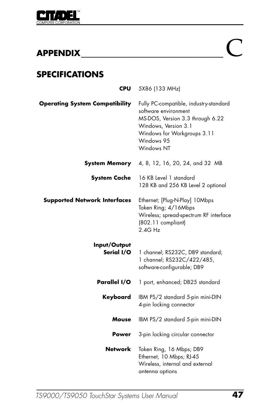

## $\blacksquare$   $\blacksquare$   $\blacksquare$   $\blacksquare$   $\blacksquare$

#### **SPECIFICATIONS**

| CPU                                   | 5X86 (133 MHz)                                                                                                                                                                               |
|---------------------------------------|----------------------------------------------------------------------------------------------------------------------------------------------------------------------------------------------|
| <b>Operating System Compatibility</b> | Fully PC-compatible, industry-standard<br>software environment<br>MS-DOS, Version 3.3 through 6.22<br>Windows, Version 3.1<br>Windows for Workgroups 3.11<br>Windows 95<br><b>Windows NT</b> |
| <b>System Memory</b>                  | 4, 8, 12, 16, 20, 24, and 32 MB                                                                                                                                                              |
| <b>System Cache</b>                   | 16 KB Level 1 standard<br>128 KB and 256 KB Level 2 optional                                                                                                                                 |
| <b>Supported Network Interfaces</b>   | Ethernet; [Plug-N-Play] 10Mbps<br>Token Ring; 4/16Mbps<br>Wireless; spread-spectrum RF interface<br>(802.11 compliant)<br>2.4G Hz                                                            |
| Input/Output<br>Serial I/O            | 1 channel; RS232C, DB9 standard;<br>1 channel; RS232C/422/485,<br>software-configurable; DB9                                                                                                 |
| Parallel I/O                          | 1 port, enhanced; DB25 standard                                                                                                                                                              |
| Keyboard                              | IBM PS/2 standard 5-pin mini-DIN<br>4-pin locking connector                                                                                                                                  |
| Mouse                                 | IBM PS/2 standard 5-pin mini-DIN                                                                                                                                                             |
| Power                                 | 3-pin locking circular connector                                                                                                                                                             |
| Network                               | Token Ring, 16 Mbps; DB9<br>Ethernet, 10 Mbps; RJ-45<br>Wireless, internal and external<br>antenna options                                                                                   |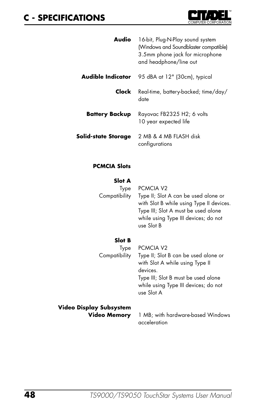

| Audio                 | 16-bit, Plug-N-Play sound system<br>(Windows and Soundblaster compatible)<br>3.5mm phone jack for microphone<br>and headphone/line out |
|-----------------------|----------------------------------------------------------------------------------------------------------------------------------------|
| Audible Indicator     | 95 dBA at 12" (30cm), typical                                                                                                          |
| Clock                 | Real-time, battery-backed; time/day/<br>date                                                                                           |
| <b>Battery Backup</b> | Rayovac FB2325 H2; 6 volts<br>10 year expected life                                                                                    |
| Solid-state Storage   | 2 MB & 4 MB FLASH disk<br>configurations                                                                                               |

#### **PCMCIA Slots**

#### **Slot A**

Type PCMCIA V2 Compatibility Type II; Slot A can be used alone or with Slot B while using Type II devices. Type III; Slot A must be used alone while using Type III devices; do not use Slot B

#### **Slot B**

|             | Type PCMCIA V2                                                                                                                                                                                  |
|-------------|-------------------------------------------------------------------------------------------------------------------------------------------------------------------------------------------------|
|             | Compatibility  Type II; Slot B can be used alone or<br>with Slot A while using Type II<br>devices.<br>Type III; Slot B must be used alone<br>while using Type III devices; do not<br>use Slot A |
| , Subsystem |                                                                                                                                                                                                 |

**Video Display Subsy** 

**Video Memory** 1 MB; with hardware-based Windows acceleration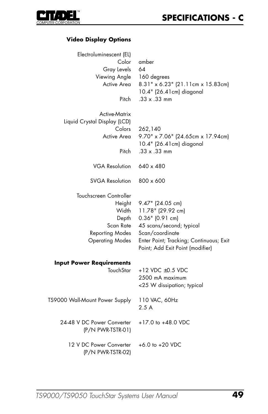



#### **Video Display Options**

| Electroluminescent (EL)<br>Color<br>Gray Levels<br>Viewing Angle<br>Active Area<br>Pitch                            | amber<br>64<br>160 degrees<br>8.31" x 6.23" (21.11cm x 15.83cm)<br>10.4" (26.41cm) diagonal<br>$.33 \times .33$ mm                                                                         |
|---------------------------------------------------------------------------------------------------------------------|--------------------------------------------------------------------------------------------------------------------------------------------------------------------------------------------|
| Active-Matrix<br>Liquid Crystal Display (LCD)<br>Colors<br>Active Area<br>Pitch                                     | 262,140<br>9.70" x 7.06" (24.65cm x 17.94cm)<br>10.4" (26.41cm) diagonal<br>$.33 \times .33$ mm                                                                                            |
| <b>VGA Resolution</b>                                                                                               | $640 \times 480$                                                                                                                                                                           |
| <b>SVGA Resolution</b>                                                                                              | $800 \times 600$                                                                                                                                                                           |
| Touchscreen Controller<br>Height<br>Width<br>Depth<br>Scan Rate<br><b>Reporting Modes</b><br><b>Operating Modes</b> | 9.47" (24.05 cm)<br>11.78" (29.92 cm)<br>$0.36"$ $(0.91 cm)$<br>45 scans/second; typical<br>Scan/coordinate<br>Enter Point; Tracking; Continuous; Exit<br>Point; Add Exit Point (modifier) |
| <b>Input Power Requirements</b><br><b>TouchStar</b>                                                                 | +12 VDC $\pm$ 0.5 VDC<br>2500 mA maximum<br><25 W dissipation; typical                                                                                                                     |
| TS9000 Wall-Mount Power Supply                                                                                      | 110 VAC, 60Hz<br>2.5A                                                                                                                                                                      |
| 24-48 V DC Power Converter<br>(P/N PWR-TSTR-01)                                                                     | +17.0 to +48.0 VDC                                                                                                                                                                         |
| 12 V DC Power Converter<br>(P/N PWR-TSTR-02)                                                                        | $+6.0$ to $+20$ VDC                                                                                                                                                                        |